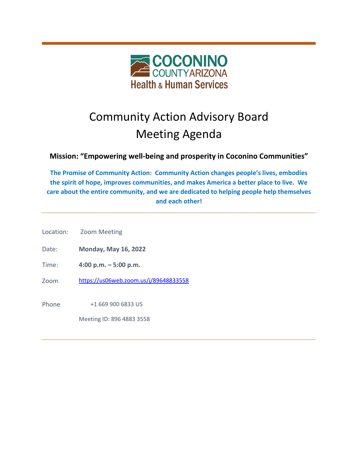

# Community Action Advisory Board Meeting Agenda

# **Mission: "Empowering well-being and prosperity in Coconino Communities"**

**The Promise of Community Action: Community Action changes people's lives, embodies the spirit of hope, improves communities, and makes America a better place to live. We care about the entire community, and we are dedicated to helping people help themselves and each other!**

Location: Zoom Meeting

Date: **Monday, May 16, 2022**

- Time: **4:00 p.m. – 5:00 p.m.**
- Zoom <https://us06web.zoom.us/j/89648833558>

Phone  $+16699006833$  US

Meeting ID: 896 4883 3558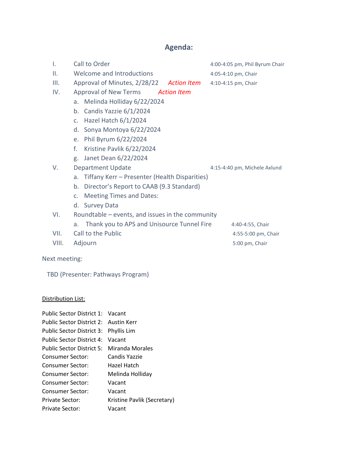## **Agenda:**

- I. Call to Order 1.00-4:05 pm, Phil Byrum Chair
- II. Welcome and Introductions 4:05-4:10 pm, Chair
- III. Approval of Minutes, 2/28/22 *Action Item* 4:10-4:15 pm, Chair
- IV. Approval of New Terms *Action Item*
	- a. Melinda Holliday 6/22/2024
	- b. Candis Yazzie 6/1/2024
	- c. Hazel Hatch 6/1/2024
	- d. Sonya Montoya 6/22/2024
	- e. Phil Byrum 6/22/2024
	- f. Kristine Pavlik 6/22/2024
	- g. Janet Dean 6/22/2024
- V. Department Update 1900 and 4:15-4:40 pm, Michele Axlund
	-
	- a. Tiffany Kerr Presenter (Health Disparities)
	- b. Director's Report to CAAB (9.3 Standard)
	- c. Meeting Times and Dates:
	- d. Survey Data
- VI. Roundtable events, and issues in the community
	- a. Thank you to APS and Unisource Tunnel Fire 4:40-4:55, Chair
- VII. Call to the Public 200 and 2:55-5:00 pm, Chair
- VIII. Adjourn 5:00 pm, Chair

Next meeting:

TBD (Presenter: Pathways Program)

#### Distribution List:

| Public Sector District 1: | Vacant                      |
|---------------------------|-----------------------------|
| Public Sector District 2: | Austin Kerr                 |
| Public Sector District 3: | Phyllis Lim                 |
| Public Sector District 4: | Vacant                      |
| Public Sector District 5: | Miranda Morales             |
| Consumer Sector:          | Candis Yazzie               |
| Consumer Sector:          | Hazel Hatch                 |
| Consumer Sector:          | Melinda Holliday            |
| Consumer Sector:          | Vacant                      |
| Consumer Sector:          | Vacant                      |
| Private Sector:           | Kristine Pavlik (Secretary) |
| Private Sector:           | Vacant                      |
|                           |                             |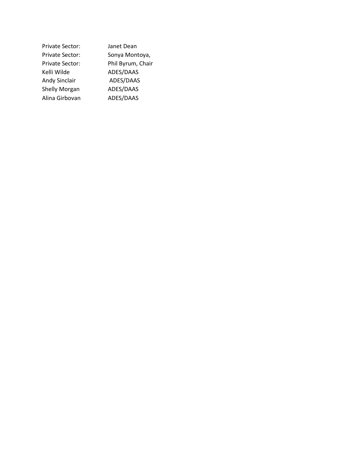| Private Sector:        | Janet Dean        |
|------------------------|-------------------|
| <b>Private Sector:</b> | Sonya Montoya,    |
| <b>Private Sector:</b> | Phil Byrum, Chair |
| Kelli Wilde            | ADES/DAAS         |
| <b>Andy Sinclair</b>   | ADES/DAAS         |
| <b>Shelly Morgan</b>   | ADES/DAAS         |
| Alina Girbovan         | ADES/DAAS         |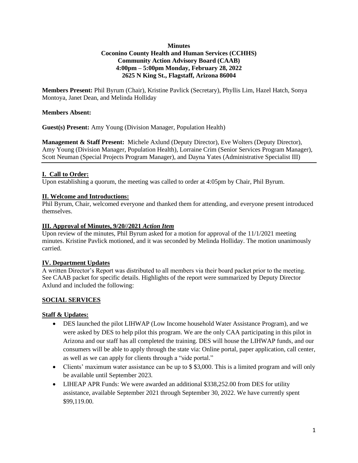#### **Minutes Coconino County Health and Human Services (CCHHS) Community Action Advisory Board (CAAB) 4:00pm – 5:00pm Monday, February 28, 2022 2625 N King St., Flagstaff, Arizona 86004**

**Members Present:** Phil Byrum (Chair), Kristine Pavlick (Secretary), Phyllis Lim, Hazel Hatch, Sonya Montoya, Janet Dean, and Melinda Holliday

#### **Members Absent:**

**Guest(s) Present:** Amy Young (Division Manager, Population Health)

**Management & Staff Present:** Michele Axlund (Deputy Director), Eve Wolters (Deputy Director), Amy Young (Division Manager, Population Health), Lorraine Crim (Senior Services Program Manager), Scott Neuman (Special Projects Program Manager), and Dayna Yates (Administrative Specialist III)

#### **I. Call to Order:**

Upon establishing a quorum, the meeting was called to order at 4:05pm by Chair, Phil Byrum.

#### **II. Welcome and Introductions:**

Phil Byrum, Chair, welcomed everyone and thanked them for attending, and everyone present introduced themselves.

#### **III. Approval of Minutes, 9/20//2021** *Action Item*

Upon review of the minutes, Phil Byrum asked for a motion for approval of the  $11/1/2021$  meeting minutes. Kristine Pavlick motioned, and it was seconded by Melinda Holliday. The motion unanimously carried.

#### **IV. Department Updates**

A written Director's Report was distributed to all members via their board packet prior to the meeting. See CAAB packet for specific details. Highlights of the report were summarized by Deputy Director Axlund and included the following:

#### **SOCIAL SERVICES**

#### **Staff & Updates:**

- DES launched the pilot LIHWAP (Low Income household Water Assistance Program), and we were asked by DES to help pilot this program. We are the only CAA participating in this pilot in Arizona and our staff has all completed the training. DES will house the LIHWAP funds, and our consumers will be able to apply through the state via: Online portal, paper application, call center, as well as we can apply for clients through a "side portal."
- Clients' maximum water assistance can be up to \$\$3,000. This is a limited program and will only be available until September 2023.
- LIHEAP APR Funds: We were awarded an additional \$338,252.00 from DES for utility assistance, available September 2021 through September 30, 2022. We have currently spent \$99,119.00.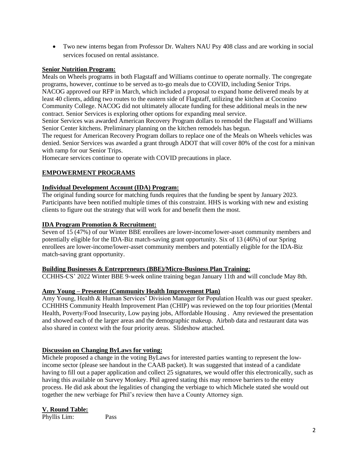• Two new interns began from Professor Dr. Walters NAU Psy 408 class and are working in social services focused on rental assistance.

#### **Senior Nutrition Program:**

Meals on Wheels programs in both Flagstaff and Williams continue to operate normally. The congregate programs, however, continue to be served as to-go meals due to COVID, including Senior Trips. NACOG approved our RFP in March, which included a proposal to expand home delivered meals by at least 40 clients, adding two routes to the eastern side of Flagstaff, utilizing the kitchen at Coconino Community College. NACOG did not ultimately allocate funding for these additional meals in the new contract. Senior Services is exploring other options for expanding meal service.

Senior Services was awarded American Recovery Program dollars to remodel the Flagstaff and Williams Senior Center kitchens. Preliminary planning on the kitchen remodels has begun.

The request for American Recovery Program dollars to replace one of the Meals on Wheels vehicles was denied. Senior Services was awarded a grant through ADOT that will cover 80% of the cost for a minivan with ramp for our Senior Trips.

Homecare services continue to operate with COVID precautions in place.

#### **EMPOWERMENT PROGRAMS**

#### **Individual Development Account (IDA) Program:**

The original funding source for matching funds requires that the funding be spent by January 2023. Participants have been notified multiple times of this constraint. HHS is working with new and existing clients to figure out the strategy that will work for and benefit them the most.

#### **IDA Program Promotion & Recruitment:**

Seven of 15 (47%) of our Winter BBE enrollees are lower-income/lower-asset community members and potentially eligible for the IDA-Biz match-saving grant opportunity. Six of 13 (46%) of our Spring enrollees are lower-income/lower-asset community members and potentially eligible for the IDA-Biz match-saving grant opportunity.

#### **Building Businesses & Entrepreneurs (BBE)/Micro-Business Plan Training:**

CCHHS-CS' 2022 Winter BBE 9-week online training began January 11th and will conclude May 8th.

#### **Amy Young – Presenter (Community Health Improvement Plan)**

Amy Young, Health & Human Services' Division Manager for Population Health was our guest speaker. CCHHHS Community Health Improvement Plan (CHIP) was reviewed on the top four priorities (Mental Health, Poverty/Food Insecurity, Low paying jobs, Affordable Housing . Amy reviewed the presentation and showed each of the larger areas and the demographic makeup. Airbnb data and restaurant data was also shared in context with the four priority areas. Slideshow attached.

#### **Discussion on Changing ByLaws for voting:**

Michele proposed a change in the voting ByLaws for interested parties wanting to represent the lowincome sector (please see handout in the CAAB packet). It was suggested that instead of a candidate having to fill out a paper application and collect 25 signatures, we would offer this electronically, such as having this available on Survey Monkey. Phil agreed stating this may remove barriers to the entry process. He did ask about the legalities of changing the verbiage to which Michele stated she would out together the new verbiage for Phil's review then have a County Attorney sign.

#### **V. Round Table:**

Phyllis Lim: Pass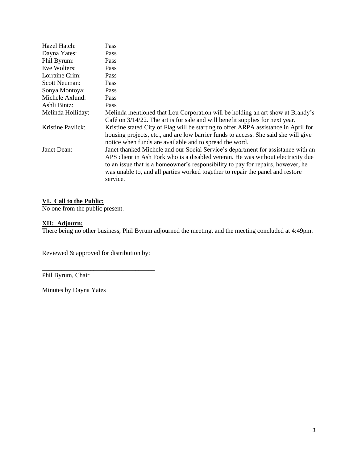| Hazel Hatch:         | <b>Pass</b>                                                                                                                                                                                                                                                                                                                                            |
|----------------------|--------------------------------------------------------------------------------------------------------------------------------------------------------------------------------------------------------------------------------------------------------------------------------------------------------------------------------------------------------|
| Dayna Yates:         | Pass                                                                                                                                                                                                                                                                                                                                                   |
| Phil Byrum:          | <b>Pass</b>                                                                                                                                                                                                                                                                                                                                            |
| Eve Wolters:         | Pass                                                                                                                                                                                                                                                                                                                                                   |
| Lorraine Crim:       | <b>Pass</b>                                                                                                                                                                                                                                                                                                                                            |
| <b>Scott Neuman:</b> | <b>Pass</b>                                                                                                                                                                                                                                                                                                                                            |
| Sonya Montoya:       | <b>Pass</b>                                                                                                                                                                                                                                                                                                                                            |
| Michele Axlund:      | <b>Pass</b>                                                                                                                                                                                                                                                                                                                                            |
| Ashli Bintz:         | Pass                                                                                                                                                                                                                                                                                                                                                   |
| Melinda Holliday:    | Melinda mentioned that Lou Corporation will be holding an art show at Brandy's<br>Café on $3/14/22$ . The art is for sale and will benefit supplies for next year.                                                                                                                                                                                     |
| Kristine Pavlick:    | Kristine stated City of Flag will be starting to offer ARPA assistance in April for<br>housing projects, etc., and are low barrier funds to access. She said she will give<br>notice when funds are available and to spread the word.                                                                                                                  |
| Janet Dean:          | Janet thanked Michele and our Social Service's department for assistance with an<br>APS client in Ash Fork who is a disabled veteran. He was without electricity due<br>to an issue that is a homeowner's responsibility to pay for repairs, however, he<br>was unable to, and all parties worked together to repair the panel and restore<br>service. |

#### **VI. Call to the Public:**

No one from the public present.

#### **XII: Adjourn:**

There being no other business, Phil Byrum adjourned the meeting, and the meeting concluded at 4:49pm.

Reviewed & approved for distribution by:

\_\_\_\_\_\_\_\_\_\_\_\_\_\_\_\_\_\_\_\_\_\_\_\_\_\_\_\_\_\_\_\_\_\_\_

Phil Byrum, Chair

Minutes by Dayna Yates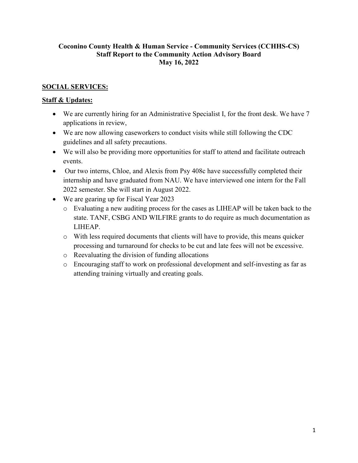### **Coconino County Health & Human Service - Community Services (CCHHS-CS) Staff Report to the Community Action Advisory Board May 16, 2022**

### **SOCIAL SERVICES:**

### **Staff & Updates:**

- We are currently hiring for an Administrative Specialist I, for the front desk. We have 7 applications in review,
- We are now allowing caseworkers to conduct visits while still following the CDC guidelines and all safety precautions.
- We will also be providing more opportunities for staff to attend and facilitate outreach events.
- Our two interns, Chloe, and Alexis from Psy 408c have successfully completed their internship and have graduated from NAU. We have interviewed one intern for the Fall 2022 semester. She will start in August 2022.
- We are gearing up for Fiscal Year 2023
	- o Evaluating a new auditing process for the cases as LIHEAP will be taken back to the state. TANF, CSBG AND WILFIRE grants to do require as much documentation as LIHEAP.
	- o With less required documents that clients will have to provide, this means quicker processing and turnaround for checks to be cut and late fees will not be excessive.
	- o Reevaluating the division of funding allocations
	- o Encouraging staff to work on professional development and self-investing as far as attending training virtually and creating goals.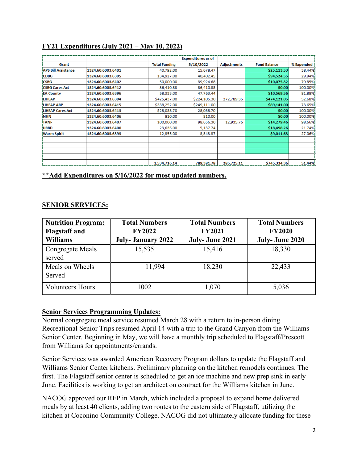# **FY21 Expenditures (July 2021 – May 10, 2022)**

|                            |                   |                      | <b>Expenditures as of</b> |                    |                     |            |
|----------------------------|-------------------|----------------------|---------------------------|--------------------|---------------------|------------|
| Grant                      |                   | <b>Total Funding</b> | 5/10/2022                 | <b>Adjustments</b> | <b>Fund Balance</b> | % Expended |
| <b>APS Bill Assistance</b> | 1324.60.6003.6401 | 40,792.00            | 15,678.47                 |                    | \$25,113.53         | 38.44%     |
| <b>CDBG</b>                | 1324.60.6003.6395 | 134,927.00           | 40,402.45                 |                    | \$94,524.55         | 29.94%     |
| <b>CSBG</b>                | 1324.60.6003.6402 | 50,000.00            | 39,924.68                 |                    | \$10,075.32         | 79.85%i    |
| <b>CSBG Cares Act</b>      | 1324.60.6003.6412 | 36,410.33            | 36,410.33                 |                    | \$0.00              | 100.00%    |
| <b>EA County</b>           | 1324.60.6003.6396 | 58,333.00            | 47,763.44                 |                    | \$10,569.56         | 81.88%     |
| <b>LIHEAP</b>              | 1324.60.6003.6394 | \$425,437.00         | \$224,105.30              | 272.789.35         | \$474,121.05        | 52.68%     |
| <b>LIHEAP ARP</b>          | 1324.60.6003.6415 | \$338,252.00         | \$249,111.00              |                    | \$89,141.00         | 73.65%i    |
| <b>LIHEAP Cares Act</b>    | 1324.60.6003.6413 | \$28,038.70          | 28,038.70                 |                    | \$0.00              | 100.00%    |
| <b>NHN</b>                 | 1324.60.6003.6406 | 810.00               | 810.00                    |                    | \$0.00              | 100.00%    |
| <b>TANF</b>                | 1324.60.6003.6407 | 100,000.00           | 98,656.30                 | 12,935.76          | \$14,279.46         | 98.66%     |
| URRD                       | 1324.60.6003.6400 | 23,636.00            | 5,137.74                  |                    | \$18,498.26         | 21.74%     |
| <b>Warm Spirit</b>         | 1324.60.6003.6393 | 12,355.00            | 3,343.37                  |                    | \$9,011.63          | 27.06%i    |
|                            |                   |                      |                           |                    |                     |            |
|                            |                   |                      |                           |                    |                     |            |
|                            |                   |                      |                           |                    |                     |            |
|                            |                   |                      |                           |                    |                     |            |
|                            |                   | 1.534.716.14         | 789.381.78                | 285.725.11         | \$745,334,36        | 51.44%     |

**\*\*Add Expenditures on 5/16/2022 for most updated numbers.**

### **SENIOR SERVICES:**

| <b>Nutrition Program:</b><br><b>Flagstaff</b> and<br><b>Williams</b> | <b>Total Numbers</b><br><b>FY2022</b><br><b>July-January 2022</b> | <b>Total Numbers</b><br><b>FY2021</b><br>July-June 2021 | <b>Total Numbers</b><br><b>FY2020</b><br>July-June 2020 |
|----------------------------------------------------------------------|-------------------------------------------------------------------|---------------------------------------------------------|---------------------------------------------------------|
| <b>Congregate Meals</b><br>served                                    | 15,535                                                            | 15,416                                                  | 18,330                                                  |
| Meals on Wheels<br>Served                                            | 11,994                                                            | 18,230                                                  | 22,433                                                  |
| <b>Volunteers Hours</b>                                              | 1002                                                              | 1,070                                                   | 5,036                                                   |

### **Senior Services Programming Updates:**

Normal congregate meal service resumed March 28 with a return to in-person dining. Recreational Senior Trips resumed April 14 with a trip to the Grand Canyon from the Williams Senior Center. Beginning in May, we will have a monthly trip scheduled to Flagstaff/Prescott from Williams for appointments/errands.

Senior Services was awarded American Recovery Program dollars to update the Flagstaff and Williams Senior Center kitchens. Preliminary planning on the kitchen remodels continues. The first. The Flagstaff senior center is scheduled to get an ice machine and new prep sink in early June. Facilities is working to get an architect on contract for the Williams kitchen in June.

NACOG approved our RFP in March, which included a proposal to expand home delivered meals by at least 40 clients, adding two routes to the eastern side of Flagstaff, utilizing the kitchen at Coconino Community College. NACOG did not ultimately allocate funding for these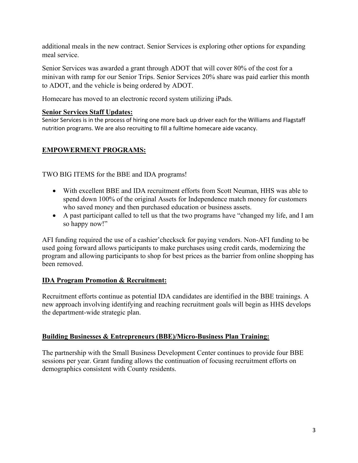additional meals in the new contract. Senior Services is exploring other options for expanding meal service.

Senior Services was awarded a grant through ADOT that will cover 80% of the cost for a minivan with ramp for our Senior Trips. Senior Services 20% share was paid earlier this month to ADOT, and the vehicle is being ordered by ADOT.

Homecare has moved to an electronic record system utilizing iPads.

### **Senior Services Staff Updates:**

Senior Services is in the process of hiring one more back up driver each for the Williams and Flagstaff nutrition programs. We are also recruiting to fill a fulltime homecare aide vacancy.

# **EMPOWERMENT PROGRAMS:**

TWO BIG ITEMS for the BBE and IDA programs!

- With excellent BBE and IDA recruitment efforts from Scott Neuman, HHS was able to spend down 100% of the original Assets for Independence match money for customers who saved money and then purchased education or business assets.
- A past participant called to tell us that the two programs have "changed my life, and I am so happy now!"

AFI funding required the use of a cashier'checksck for paying vendors. Non-AFI funding to be used going forward allows participants to make purchases using credit cards, modernizing the program and allowing participants to shop for best prices as the barrier from online shopping has been removed.

### **IDA Program Promotion & Recruitment:**

Recruitment efforts continue as potential IDA candidates are identified in the BBE trainings. A new approach involving identifying and reaching recruitment goals will begin as HHS develops the department-wide strategic plan.

### **Building Businesses & Entrepreneurs (BBE)/Micro-Business Plan Training:**

The partnership with the Small Business Development Center continues to provide four BBE sessions per year. Grant funding allows the continuation of focusing recruitment efforts on demographics consistent with County residents.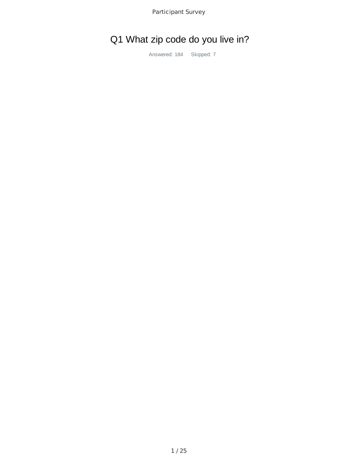# Q1 What zip code do you live in?

Answered: 184 Skipped: 7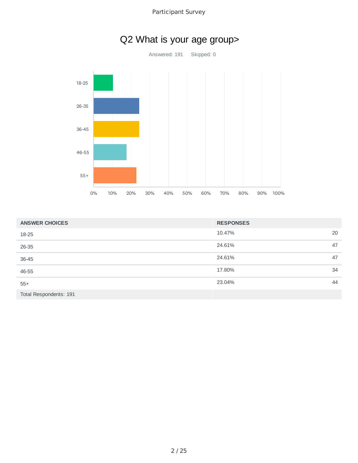

| <b>ANSWER CHOICES</b>  | <b>RESPONSES</b> |    |
|------------------------|------------------|----|
| 18-25                  | 10.47%           | 20 |
| 26-35                  | 24.61%           | 47 |
| 36-45                  | 24.61%           | 47 |
| 46-55                  | 17.80%           | 34 |
| $55+$                  | 23.04%           | 44 |
| Total Respondents: 191 |                  |    |

# Q2 What is your age group>

Answered: 191 Skipped: 0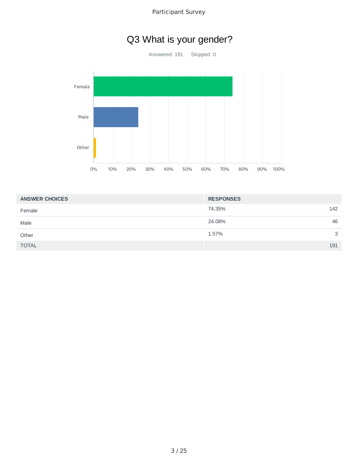# Q3 What is your gender?

Answered: 191 Skipped: 0



| <b>ANSWER CHOICES</b> | <b>RESPONSES</b> |
|-----------------------|------------------|
| Female                | 74.35%<br>142    |
| Male                  | 24.08%<br>46     |
| Other                 | 1.57%<br>3       |
| <b>TOTAL</b>          | 191              |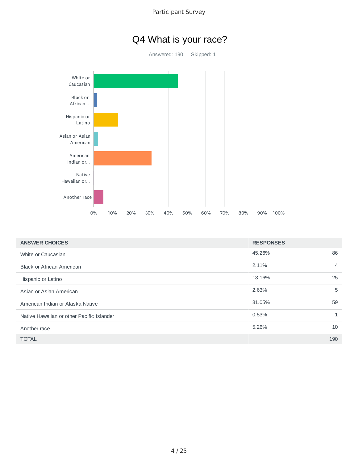

| <b>ANSWER CHOICES</b>                     | <b>RESPONSES</b> |     |
|-------------------------------------------|------------------|-----|
| White or Caucasian                        | 45.26%           | 86  |
| <b>Black or African American</b>          | 2.11%            | 4   |
| Hispanic or Latino                        | 13.16%           | 25  |
| Asian or Asian American                   | 2.63%            | 5   |
| American Indian or Alaska Native          | 31.05%           | 59  |
| Native Hawaiian or other Pacific Islander | 0.53%            |     |
| Another race                              | 5.26%            | 10  |
| <b>TOTAL</b>                              |                  | 190 |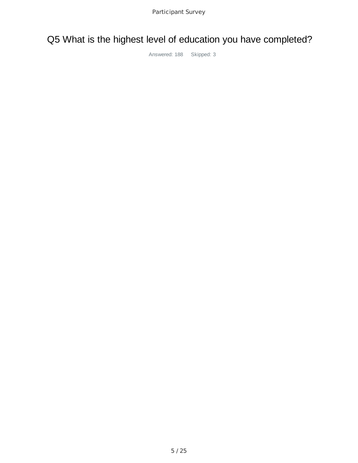# Q5 What is the highest level of education you have completed?

Answered: 188 Skipped: 3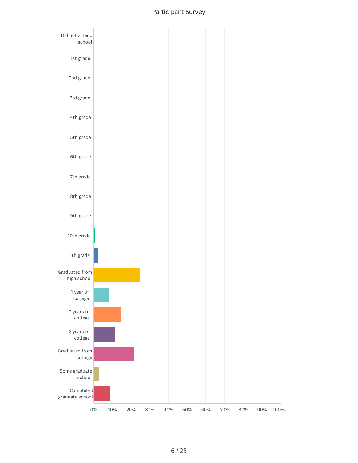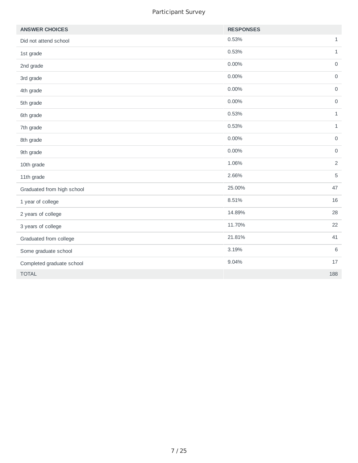| <b>ANSWER CHOICES</b>      | <b>RESPONSES</b> |                     |
|----------------------------|------------------|---------------------|
| Did not attend school      | 0.53%            | $1\,$               |
| 1st grade                  | 0.53%            | $\mathbf{1}$        |
| 2nd grade                  | 0.00%            | $\mathsf{O}\xspace$ |
| 3rd grade                  | 0.00%            | $\mathsf{O}\xspace$ |
| 4th grade                  | $0.00\%$         | $\mathsf{O}\xspace$ |
| 5th grade                  | 0.00%            | $\mathsf{O}\xspace$ |
| 6th grade                  | 0.53%            | $1\,$               |
| 7th grade                  | 0.53%            | $\mathbf 1$         |
| 8th grade                  | 0.00%            | $\mathsf{O}\xspace$ |
| 9th grade                  | 0.00%            | $\mathsf{O}\xspace$ |
| 10th grade                 | 1.06%            | $\overline{2}$      |
| 11th grade                 | 2.66%            | 5                   |
| Graduated from high school | 25.00%           | 47                  |
| 1 year of college          | 8.51%            | 16                  |
| 2 years of college         | 14.89%           | 28                  |
| 3 years of college         | 11.70%           | 22                  |
| Graduated from college     | 21.81%           | 41                  |
| Some graduate school       | 3.19%            | $6\,$               |
| Completed graduate school  | 9.04%            | $17\,$              |
| <b>TOTAL</b>               |                  | 188                 |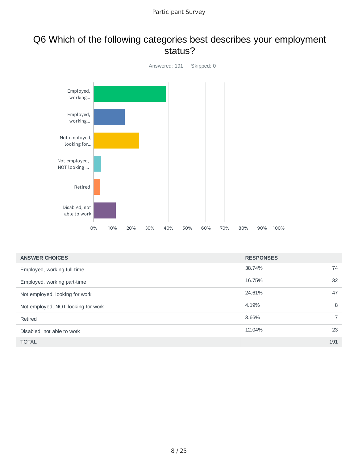# Q6 Which of the following categories best describes your employment status?



| <b>ANSWER CHOICES</b>              | <b>RESPONSES</b> |                |
|------------------------------------|------------------|----------------|
| Employed, working full-time        | 38.74%           | 74             |
| Employed, working part-time        | 16.75%           | 32             |
| Not employed, looking for work     | 24.61%           | 47             |
| Not employed, NOT looking for work | 4.19%            | 8              |
| Retired                            | 3.66%            | $\overline{7}$ |
| Disabled, not able to work         | 12.04%           | 23             |
| <b>TOTAL</b>                       |                  | 191            |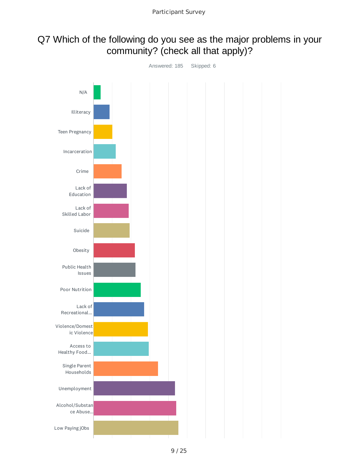# Q7 Which of the following do you see as the major problems in your community? (check all that apply)?

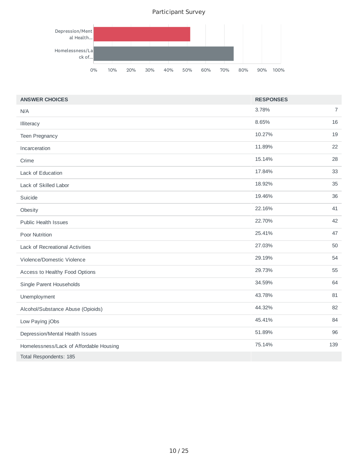

| <b>ANSWER CHOICES</b>                   | <b>RESPONSES</b> |                |
|-----------------------------------------|------------------|----------------|
| N/A                                     | 3.78%            | $\overline{7}$ |
| Illiteracy                              | 8.65%            | 16             |
| <b>Teen Pregnancy</b>                   | 10.27%           | 19             |
| Incarceration                           | 11.89%           | 22             |
| Crime                                   | 15.14%           | 28             |
| Lack of Education                       | 17.84%           | 33             |
| Lack of Skilled Labor                   | 18.92%           | 35             |
| Suicide                                 | 19.46%           | 36             |
| Obesity                                 | 22.16%           | 41             |
| <b>Public Health Issues</b>             | 22.70%           | 42             |
| Poor Nutrition                          | 25.41%           | 47             |
| <b>Lack of Recreational Activities</b>  | 27.03%           | 50             |
| Violence/Domestic Violence              | 29.19%           | 54             |
| Access to Healthy Food Options          | 29.73%           | 55             |
| Single Parent Households                | 34.59%           | 64             |
| Unemployment                            | 43.78%           | 81             |
| Alcohol/Substance Abuse (Opioids)       | 44.32%           | 82             |
| Low Paying jObs                         | 45.41%           | 84             |
| Depression/Mental Health Issues         | 51.89%           | 96             |
| Homelessness/Lack of Affordable Housing | 75.14%           | 139            |
| Total Respondents: 185                  |                  |                |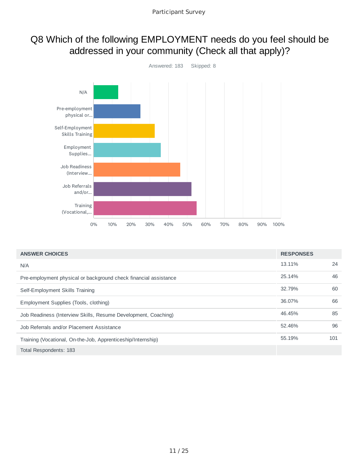# Q8 Which of the following EMPLOYMENT needs do you feel should be addressed in your community (Check all that apply)?



| <b>ANSWER CHOICES</b>                                            | <b>RESPONSES</b> |     |
|------------------------------------------------------------------|------------------|-----|
| N/A                                                              | 13.11%           | 24  |
| Pre-employment physical or background check financial assistance | 25.14%           | 46  |
| Self-Employment Skills Training                                  | 32.79%           | 60  |
| Employment Supplies (Tools, clothing)                            | 36.07%           | 66  |
| Job Readiness (Interview Skills, Resume Development, Coaching)   | 46.45%           | 85  |
| Job Referrals and/or Placement Assistance                        | 52.46%           | 96  |
| Training (Vocational, On-the-Job, Apprenticeship/Internship)     | 55.19%           | 101 |
| Total Respondents: 183                                           |                  |     |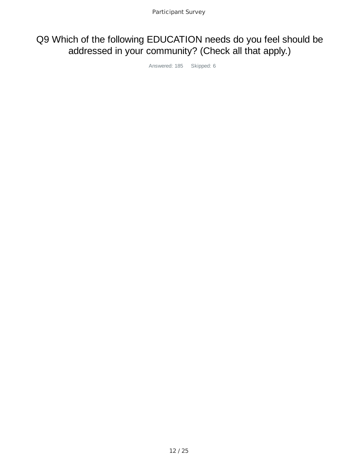# Q9 Which of the following EDUCATION needs do you feel should be addressed in your community? (Check all that apply.)

Answered: 185 Skipped: 6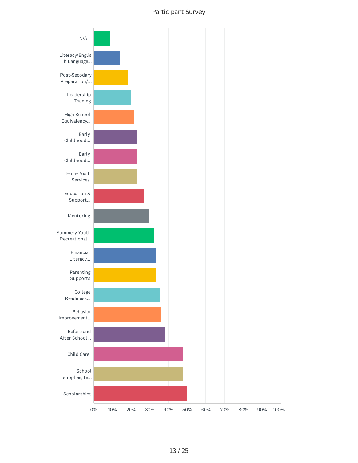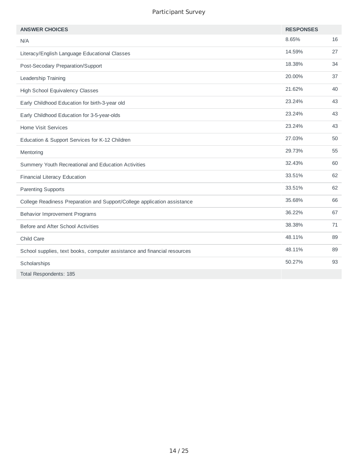| <b>ANSWER CHOICES</b>                                                    | <b>RESPONSES</b> |    |
|--------------------------------------------------------------------------|------------------|----|
| N/A                                                                      | 8.65%            | 16 |
| Literacy/English Language Educational Classes                            | 14.59%           | 27 |
| Post-Secodary Preparation/Support                                        | 18.38%           | 34 |
| Leadership Training                                                      | 20.00%           | 37 |
| <b>High School Equivalency Classes</b>                                   | 21.62%           | 40 |
| Early Childhood Education for birth-3-year old                           | 23.24%           | 43 |
| Early Childhood Education for 3-5-year-olds                              | 23.24%           | 43 |
| <b>Home Visit Services</b>                                               | 23.24%           | 43 |
| Education & Support Services for K-12 Children                           | 27.03%           | 50 |
| Mentoring                                                                | 29.73%           | 55 |
| Summery Youth Recreational and Education Activities                      | 32.43%           | 60 |
| Financial Literacy Education                                             | 33.51%           | 62 |
| <b>Parenting Supports</b>                                                | 33.51%           | 62 |
| College Readiness Preparation and Support/College application assistance | 35.68%           | 66 |
| <b>Behavior Improvement Programs</b>                                     | 36.22%           | 67 |
| Before and After School Activities                                       | 38.38%           | 71 |
| Child Care                                                               | 48.11%           | 89 |
| School supplies, text books, computer assistance and financial resources | 48.11%           | 89 |
| Scholarships                                                             | 50.27%           | 93 |
| Total Respondents: 185                                                   |                  |    |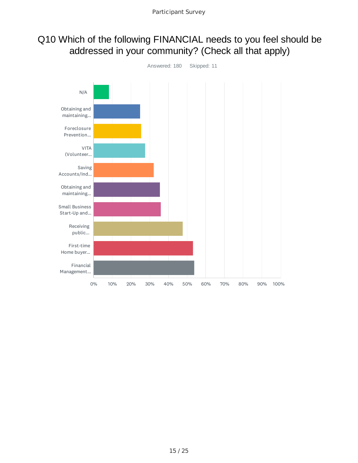# Q10 Which of the following FINANCIAL needs to you feel should be addressed in your community? (Check all that apply)

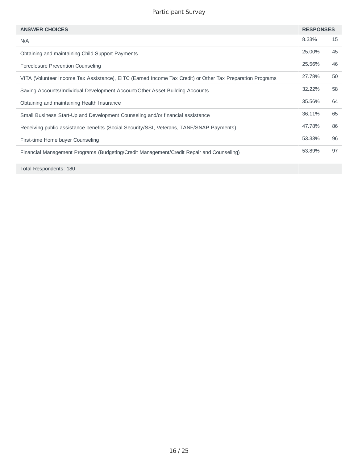| <b>ANSWER CHOICES</b>                                                                                     | <b>RESPONSES</b> |    |
|-----------------------------------------------------------------------------------------------------------|------------------|----|
| N/A                                                                                                       | 8.33%            | 15 |
| Obtaining and maintaining Child Support Payments                                                          | 25,00%           | 45 |
| Foreclosure Prevention Counseling                                                                         | 25.56%           | 46 |
| VITA (Volunteer Income Tax Assistance), EITC (Earned Income Tax Credit) or Other Tax Preparation Programs | 27.78%           | 50 |
| Saving Accounts/Individual Development Account/Other Asset Building Accounts                              | 32.22%           | 58 |
| Obtaining and maintaining Health Insurance                                                                | 35.56%           | 64 |
| Small Business Start-Up and Development Counseling and/or financial assistance                            | 36.11%           | 65 |
| Receiving public assistance benefits (Social Security/SSI, Veterans, TANF/SNAP Payments)                  | 47.78%           | 86 |
| First-time Home buyer Counseling                                                                          | 53.33%           | 96 |
| Financial Management Programs (Budgeting/Credit Management/Credit Repair and Counseling)                  | 53.89%           | 97 |

Total Respondents: 180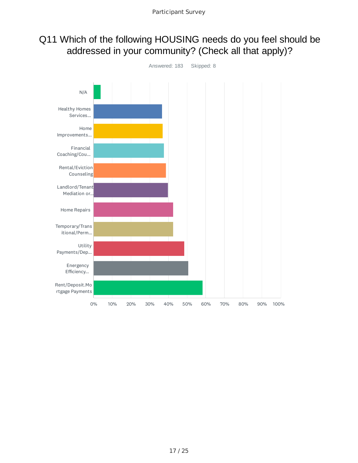# Q11 Which of the following HOUSING needs do you feel should be addressed in your community? (Check all that apply)?

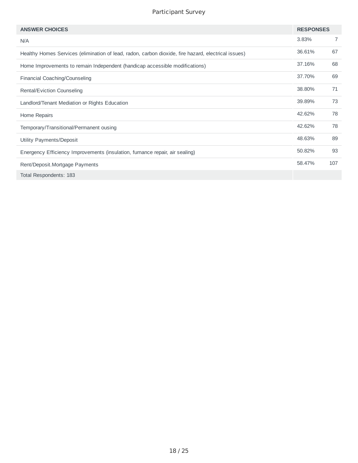| <b>ANSWER CHOICES</b>                                                                               | <b>RESPONSES</b> |                |
|-----------------------------------------------------------------------------------------------------|------------------|----------------|
| N/A                                                                                                 | 3.83%            | $\overline{7}$ |
| Healthy Homes Services (elimination of lead, radon, carbon dioxide, fire hazard, electrical issues) | 36.61%           | 67             |
| Home Improvements to remain Independent (handicap accessible modifications)                         | 37.16%           | 68             |
| Financial Coaching/Counseling                                                                       | 37.70%           | 69             |
| Rental/Eviction Counseling                                                                          | 38.80%           | 71             |
| Landlord/Tenant Mediation or Rights Education                                                       | 39.89%           | 73             |
| Home Repairs                                                                                        | 42.62%           | 78             |
| Temporary/Transitional/Permanent ousing                                                             | 42.62%           | 78             |
| Utility Payments/Deposit                                                                            | 48.63%           | 89             |
| Energency Efficiency Improvements (insulation, furnance repair, air sealing)                        | 50.82%           | 93             |
| Rent/Deposit.Mortgage Payments                                                                      | 58.47%           | 107            |
| Total Respondents: 183                                                                              |                  |                |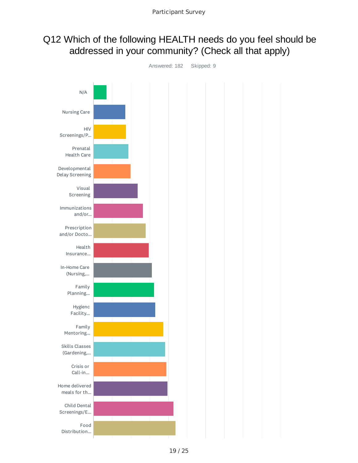# Q12 Which of the following HEALTH needs do you feel should be addressed in your community? (Check all that apply)



19 / 25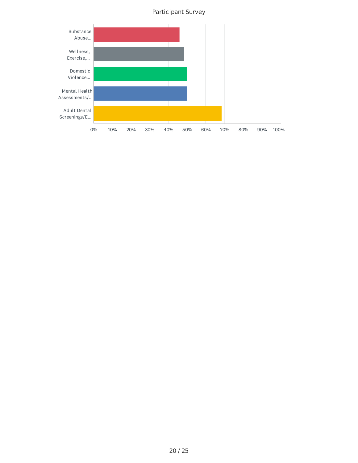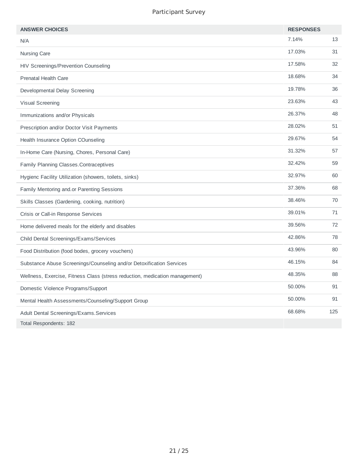| <b>ANSWER CHOICES</b>                                                       | <b>RESPONSES</b> |     |
|-----------------------------------------------------------------------------|------------------|-----|
| N/A                                                                         | 7.14%            | 13  |
| Nursing Care                                                                | 17.03%           | 31  |
| <b>HIV Screenings/Prevention Counseling</b>                                 | 17.58%           | 32  |
| <b>Prenatal Health Care</b>                                                 | 18.68%           | 34  |
| Developmental Delay Screening                                               | 19.78%           | 36  |
| Visual Screening                                                            | 23.63%           | 43  |
| Immunizations and/or Physicals                                              | 26.37%           | 48  |
| Prescription and/or Doctor Visit Payments                                   | 28.02%           | 51  |
| Health Insurance Option COunseling                                          | 29.67%           | 54  |
| In-Home Care (Nursing, Chores, Personal Care)                               | 31.32%           | 57  |
| Family Planning Classes.Contraceptives                                      | 32.42%           | 59  |
| Hygienc Facility Utilization (showers, toilets, sinks)                      | 32.97%           | 60  |
| Family Mentoring and or Parenting Sessions                                  | 37.36%           | 68  |
| Skills Classes (Gardening, cooking, nutrition)                              | 38.46%           | 70  |
| Crisis or Call-in Response Services                                         | 39.01%           | 71  |
| Home delivered meals for the elderly and disables                           | 39.56%           | 72  |
| Child Dental Screenings/Exams/Services                                      | 42.86%           | 78  |
| Food Distribution (food bodes, grocery vouchers)                            | 43.96%           | 80  |
| Substance Abuse Screenings/Counseling and/or Detoxification Services        | 46.15%           | 84  |
| Wellness, Exercise, Fitness Class (stress reduction, medication management) | 48.35%           | 88  |
| Domestic Violence Programs/Support                                          | 50.00%           | 91  |
| Mental Health Assessments/Counseling/Support Group                          | 50.00%           | 91  |
| <b>Adult Dental Screenings/Exams. Services</b>                              | 68.68%           | 125 |
| Total Respondents: 182                                                      |                  |     |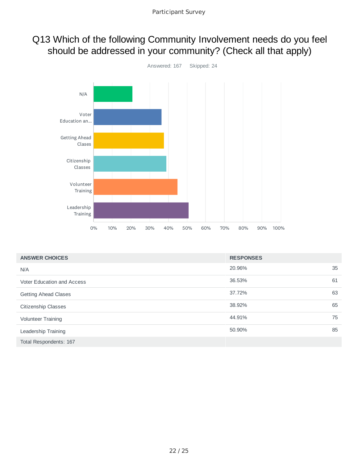# Q13 Which of the following Community Involvement needs do you feel should be addressed in your community? (Check all that apply)



| <b>ANSWER CHOICES</b>             | <b>RESPONSES</b> |    |
|-----------------------------------|------------------|----|
| N/A                               | 20.96%           | 35 |
| <b>Voter Education and Access</b> | 36.53%           | 61 |
| <b>Getting Ahead Clases</b>       | 37.72%           | 63 |
| Citizenship Classes               | 38.92%           | 65 |
| <b>Volunteer Training</b>         | 44.91%           | 75 |
| Leadership Training               | 50.90%           | 85 |
| Total Respondents: 167            |                  |    |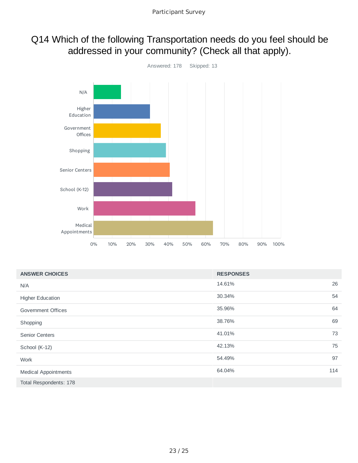# Q14 Which of the following Transportation needs do you feel should be addressed in your community? (Check all that apply).



| <b>ANSWER CHOICES</b>       | <b>RESPONSES</b> |     |
|-----------------------------|------------------|-----|
| N/A                         | 14.61%           | 26  |
| <b>Higher Education</b>     | 30.34%           | 54  |
| Government Offices          | 35.96%           | 64  |
| Shopping                    | 38.76%           | 69  |
| <b>Senior Centers</b>       | 41.01%           | 73  |
| School (K-12)               | 42.13%           | 75  |
| Work                        | 54.49%           | 97  |
| <b>Medical Appointments</b> | 64.04%           | 114 |
| Total Respondents: 178      |                  |     |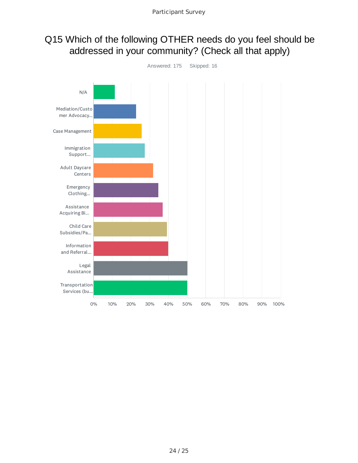# Q15 Which of the following OTHER needs do you feel should be addressed in your community? (Check all that apply)